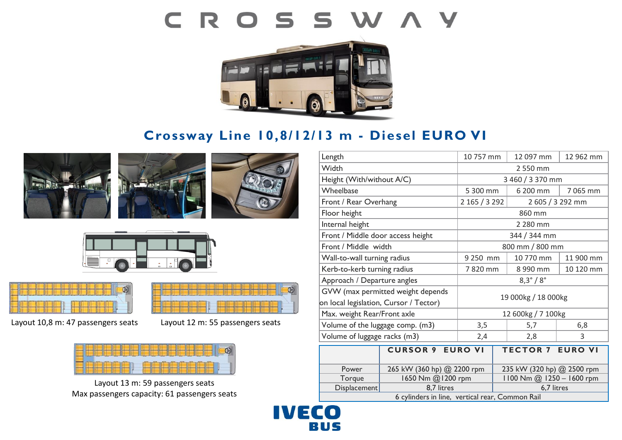# CROSSWAY



# **Crossway Line 10,8/12/13 m - Diesel EURO VI**







Layout 10,8 m: 47 passengers seats Layout 12 m: 55 passengers seats



Layout 13 m: 59 passengers seats Max passengers capacity: 61 passengers seats

| Length                                          |                            | 10 757 mm               | 12 097 mm                  | 12 962 mm |
|-------------------------------------------------|----------------------------|-------------------------|----------------------------|-----------|
| Width                                           |                            | 2 550 mm                |                            |           |
| Height (With/without A/C)                       |                            | 3 460 / 3 370 mm        |                            |           |
| Wheelbase                                       |                            | 5 300 mm                | 6 200 mm                   | 7 065 mm  |
| Front / Rear Overhang                           |                            | 2 165 / 3 292           | 2 605 / 3 292 mm           |           |
| Floor height                                    |                            | 860 mm                  |                            |           |
| Internal height                                 |                            | 2 280 mm                |                            |           |
| Front / Middle door access height               |                            | 344 / 344 mm            |                            |           |
| Front / Middle width                            |                            | 800 mm / 800 mm         |                            |           |
| Wall-to-wall turning radius                     |                            | 9 250 mm                | 10 770 mm                  | 11 900 mm |
| Kerb-to-kerb turning radius                     |                            | 7820 mm                 | 8 990 mm                   | 10 120 mm |
| Approach / Departure angles                     |                            | $8,3^{\circ}/8^{\circ}$ |                            |           |
| GVW (max permitted weight depends               |                            | 19 000kg / 18 000kg     |                            |           |
| on local legislation, Cursor / Tector)          |                            |                         |                            |           |
| Max. weight Rear/Front axle                     |                            | 12 600kg / 7 100kg      |                            |           |
| Volume of the luggage comp. (m3)                |                            | 3,5                     | 5,7                        | 6,8       |
| Volume of luggage racks (m3)                    |                            | 2,4                     | 2,8                        | 3         |
|                                                 | <b>CURSOR 9 EURO VI</b>    |                         | <b>TECTOR 7 EURO VI</b>    |           |
|                                                 |                            |                         |                            |           |
| Power                                           | 265 kW (360 hp) @ 2200 rpm |                         | 235 kW (320 hp) @ 2500 rpm |           |
| Torque                                          | 1650 Nm @1200 rpm          |                         | 1100 Nm @ 1250 - 1600 rpm  |           |
| Displacement                                    | 8,7 litres                 |                         | 6,7 litres                 |           |
| 6 cylinders in line, vertical rear, Common Rail |                            |                         |                            |           |